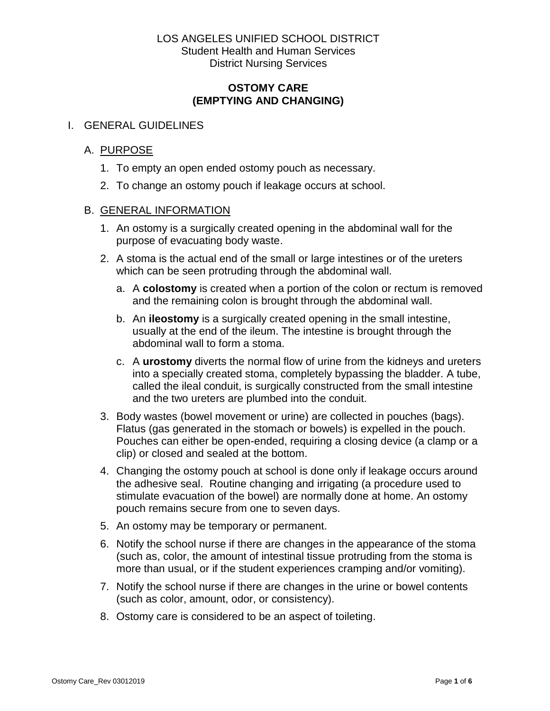#### **OSTOMY CARE (EMPTYING AND CHANGING)**

#### I. GENERAL GUIDELINES

#### A. PURPOSE

- 1. To empty an open ended ostomy pouch as necessary.
- 2. To change an ostomy pouch if leakage occurs at school.

#### B. GENERAL INFORMATION

- 1. An ostomy is a surgically created opening in the abdominal wall for the purpose of evacuating body waste.
- 2. A stoma is the actual end of the small or large intestines or of the ureters which can be seen protruding through the abdominal wall.
	- a. A **colostomy** is created when a portion of the colon or rectum is removed and the remaining colon is brought through the abdominal wall.
	- b. An **ileostomy** is a surgically created opening in the small intestine, usually at the end of the ileum. The intestine is brought through the abdominal wall to form a stoma.
	- c. A **urostomy** diverts the normal flow of urine from the kidneys and ureters into a specially created stoma, completely bypassing the bladder. A tube, called the ileal conduit, is surgically constructed from the small intestine and the two ureters are plumbed into the conduit.
- 3. Body wastes (bowel movement or urine) are collected in pouches (bags). Flatus (gas generated in the stomach or bowels) is expelled in the pouch. Pouches can either be open-ended, requiring a closing device (a clamp or a clip) or closed and sealed at the bottom.
- 4. Changing the ostomy pouch at school is done only if leakage occurs around the adhesive seal. Routine changing and irrigating (a procedure used to stimulate evacuation of the bowel) are normally done at home. An ostomy pouch remains secure from one to seven days.
- 5. An ostomy may be temporary or permanent.
- 6. Notify the school nurse if there are changes in the appearance of the stoma (such as, color, the amount of intestinal tissue protruding from the stoma is more than usual, or if the student experiences cramping and/or vomiting).
- 7. Notify the school nurse if there are changes in the urine or bowel contents (such as color, amount, odor, or consistency).
- 8. Ostomy care is considered to be an aspect of toileting.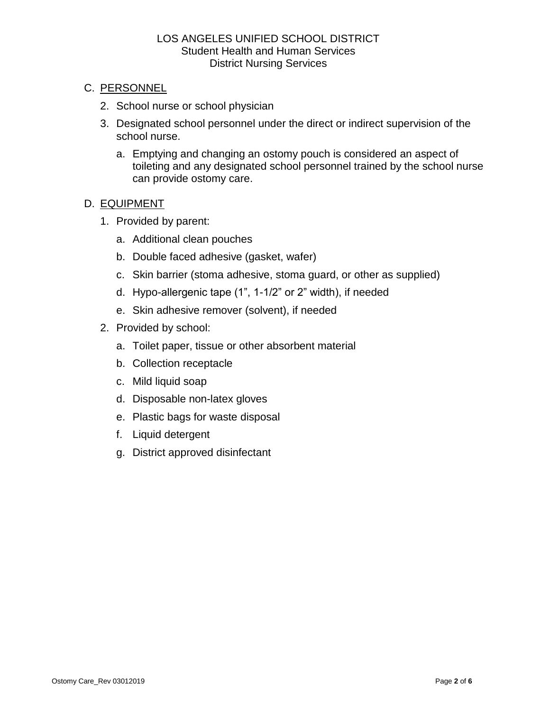## C. PERSONNEL

- 2. School nurse or school physician
- 3. Designated school personnel under the direct or indirect supervision of the school nurse.
	- a. Emptying and changing an ostomy pouch is considered an aspect of toileting and any designated school personnel trained by the school nurse can provide ostomy care.

# D. EQUIPMENT

- 1. Provided by parent:
	- a. Additional clean pouches
	- b. Double faced adhesive (gasket, wafer)
	- c. Skin barrier (stoma adhesive, stoma guard, or other as supplied)
	- d. Hypo-allergenic tape (1", 1-1/2" or 2" width), if needed
	- e. Skin adhesive remover (solvent), if needed
- 2. Provided by school:
	- a. Toilet paper, tissue or other absorbent material
	- b. Collection receptacle
	- c. Mild liquid soap
	- d. Disposable non-latex gloves
	- e. Plastic bags for waste disposal
	- f. Liquid detergent
	- g. District approved disinfectant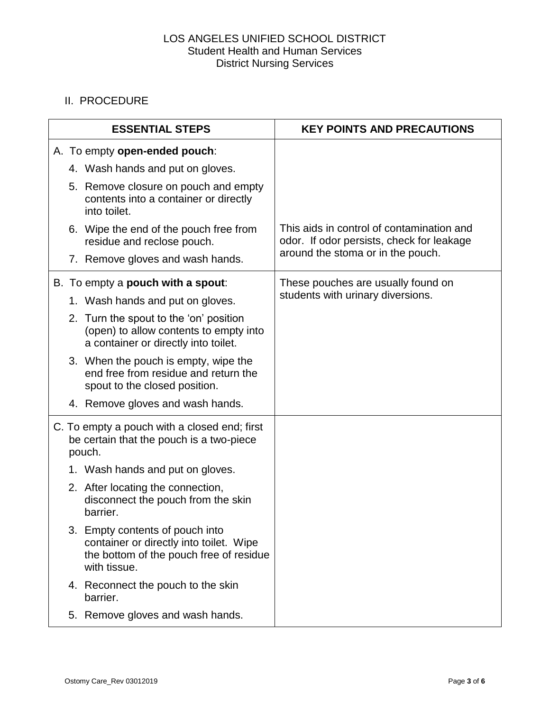# II. PROCEDURE

| <b>ESSENTIAL STEPS</b> |                                                                                                    |                                                                                                                                       | <b>KEY POINTS AND PRECAUTIONS</b>                                                      |
|------------------------|----------------------------------------------------------------------------------------------------|---------------------------------------------------------------------------------------------------------------------------------------|----------------------------------------------------------------------------------------|
|                        |                                                                                                    | A. To empty open-ended pouch:                                                                                                         |                                                                                        |
|                        |                                                                                                    | 4. Wash hands and put on gloves.                                                                                                      |                                                                                        |
|                        |                                                                                                    | 5. Remove closure on pouch and empty<br>contents into a container or directly<br>into toilet.                                         |                                                                                        |
|                        |                                                                                                    | 6. Wipe the end of the pouch free from<br>residue and reclose pouch.                                                                  | This aids in control of contamination and<br>odor. If odor persists, check for leakage |
|                        |                                                                                                    | 7. Remove gloves and wash hands.                                                                                                      | around the stoma or in the pouch.                                                      |
|                        | B. To empty a <b>pouch with a spout:</b>                                                           |                                                                                                                                       | These pouches are usually found on                                                     |
|                        |                                                                                                    | 1. Wash hands and put on gloves.                                                                                                      | students with urinary diversions.                                                      |
|                        |                                                                                                    | 2. Turn the spout to the 'on' position<br>(open) to allow contents to empty into<br>a container or directly into toilet.              |                                                                                        |
|                        |                                                                                                    | 3. When the pouch is empty, wipe the<br>end free from residue and return the<br>spout to the closed position.                         |                                                                                        |
|                        |                                                                                                    | 4. Remove gloves and wash hands.                                                                                                      |                                                                                        |
|                        | C. To empty a pouch with a closed end; first<br>be certain that the pouch is a two-piece<br>pouch. |                                                                                                                                       |                                                                                        |
|                        |                                                                                                    | 1. Wash hands and put on gloves.                                                                                                      |                                                                                        |
|                        |                                                                                                    | 2. After locating the connection,<br>disconnect the pouch from the skin<br>barrier.                                                   |                                                                                        |
|                        |                                                                                                    | 3. Empty contents of pouch into<br>container or directly into toilet. Wipe<br>the bottom of the pouch free of residue<br>with tissue. |                                                                                        |
|                        |                                                                                                    | 4. Reconnect the pouch to the skin<br>barrier.                                                                                        |                                                                                        |
|                        |                                                                                                    | 5. Remove gloves and wash hands.                                                                                                      |                                                                                        |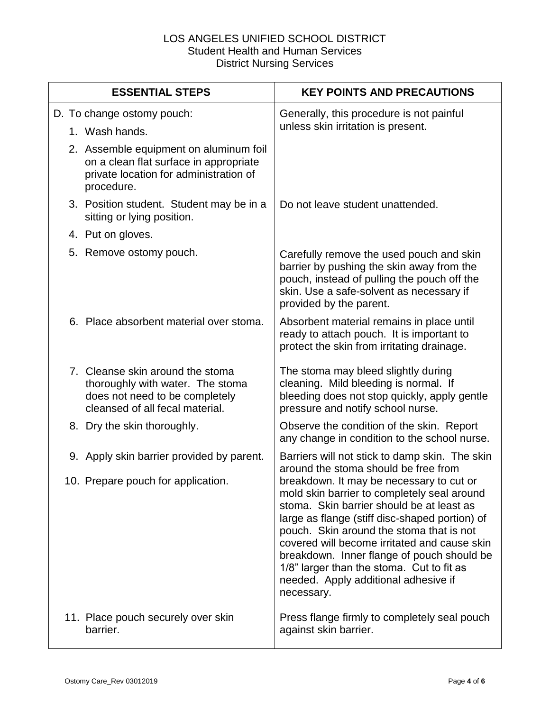| <b>ESSENTIAL STEPS</b>                                                                                                                    | <b>KEY POINTS AND PRECAUTIONS</b>                                                                                                                                                                                                                                                                                                                                                                                                   |
|-------------------------------------------------------------------------------------------------------------------------------------------|-------------------------------------------------------------------------------------------------------------------------------------------------------------------------------------------------------------------------------------------------------------------------------------------------------------------------------------------------------------------------------------------------------------------------------------|
| D. To change ostomy pouch:                                                                                                                | Generally, this procedure is not painful                                                                                                                                                                                                                                                                                                                                                                                            |
| 1. Wash hands.                                                                                                                            | unless skin irritation is present.                                                                                                                                                                                                                                                                                                                                                                                                  |
| 2. Assemble equipment on aluminum foil<br>on a clean flat surface in appropriate<br>private location for administration of<br>procedure.  |                                                                                                                                                                                                                                                                                                                                                                                                                                     |
| 3. Position student. Student may be in a<br>sitting or lying position.                                                                    | Do not leave student unattended.                                                                                                                                                                                                                                                                                                                                                                                                    |
| 4. Put on gloves.                                                                                                                         |                                                                                                                                                                                                                                                                                                                                                                                                                                     |
| 5. Remove ostomy pouch.                                                                                                                   | Carefully remove the used pouch and skin<br>barrier by pushing the skin away from the<br>pouch, instead of pulling the pouch off the<br>skin. Use a safe-solvent as necessary if<br>provided by the parent.                                                                                                                                                                                                                         |
| 6. Place absorbent material over stoma.                                                                                                   | Absorbent material remains in place until<br>ready to attach pouch. It is important to<br>protect the skin from irritating drainage.                                                                                                                                                                                                                                                                                                |
| 7. Cleanse skin around the stoma<br>thoroughly with water. The stoma<br>does not need to be completely<br>cleansed of all fecal material. | The stoma may bleed slightly during<br>cleaning. Mild bleeding is normal. If<br>bleeding does not stop quickly, apply gentle<br>pressure and notify school nurse.                                                                                                                                                                                                                                                                   |
| 8. Dry the skin thoroughly.                                                                                                               | Observe the condition of the skin. Report<br>any change in condition to the school nurse.                                                                                                                                                                                                                                                                                                                                           |
| 9. Apply skin barrier provided by parent.                                                                                                 | Barriers will not stick to damp skin. The skin<br>around the stoma should be free from                                                                                                                                                                                                                                                                                                                                              |
| 10. Prepare pouch for application.                                                                                                        | breakdown. It may be necessary to cut or<br>mold skin barrier to completely seal around<br>stoma. Skin barrier should be at least as<br>large as flange (stiff disc-shaped portion) of<br>pouch. Skin around the stoma that is not<br>covered will become irritated and cause skin<br>breakdown. Inner flange of pouch should be<br>1/8" larger than the stoma. Cut to fit as<br>needed. Apply additional adhesive if<br>necessary. |
| 11. Place pouch securely over skin<br>barrier.                                                                                            | Press flange firmly to completely seal pouch<br>against skin barrier.                                                                                                                                                                                                                                                                                                                                                               |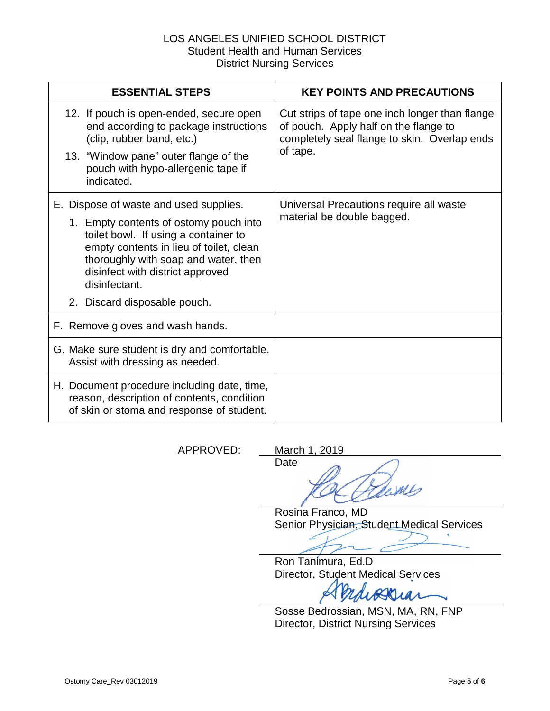| <b>ESSENTIAL STEPS</b>                                                                                                                                                                                                 | <b>KEY POINTS AND PRECAUTIONS</b>                                                                                                       |
|------------------------------------------------------------------------------------------------------------------------------------------------------------------------------------------------------------------------|-----------------------------------------------------------------------------------------------------------------------------------------|
| 12. If pouch is open-ended, secure open<br>end according to package instructions<br>(clip, rubber band, etc.)                                                                                                          | Cut strips of tape one inch longer than flange<br>of pouch. Apply half on the flange to<br>completely seal flange to skin. Overlap ends |
| 13. "Window pane" outer flange of the<br>pouch with hypo-allergenic tape if<br>indicated.                                                                                                                              | of tape.                                                                                                                                |
| E. Dispose of waste and used supplies.                                                                                                                                                                                 | Universal Precautions require all waste<br>material be double bagged.                                                                   |
| 1. Empty contents of ostomy pouch into<br>toilet bowl. If using a container to<br>empty contents in lieu of toilet, clean<br>thoroughly with soap and water, then<br>disinfect with district approved<br>disinfectant. |                                                                                                                                         |
| 2. Discard disposable pouch.                                                                                                                                                                                           |                                                                                                                                         |
| F. Remove gloves and wash hands.                                                                                                                                                                                       |                                                                                                                                         |
| G. Make sure student is dry and comfortable.<br>Assist with dressing as needed.                                                                                                                                        |                                                                                                                                         |
| H. Document procedure including date, time,<br>reason, description of contents, condition<br>of skin or stoma and response of student.                                                                                 |                                                                                                                                         |

APPROVED: March 1, 2019

Date WLS

Rosina Franco, MD Senior Physician, Student Medical Services

Ron Tanimura, Ed.D Director, Student Medical Services

 $\mathcal{U}$ 

Sosse Bedrossian, MSN, MA, RN, FNP Director, District Nursing Services